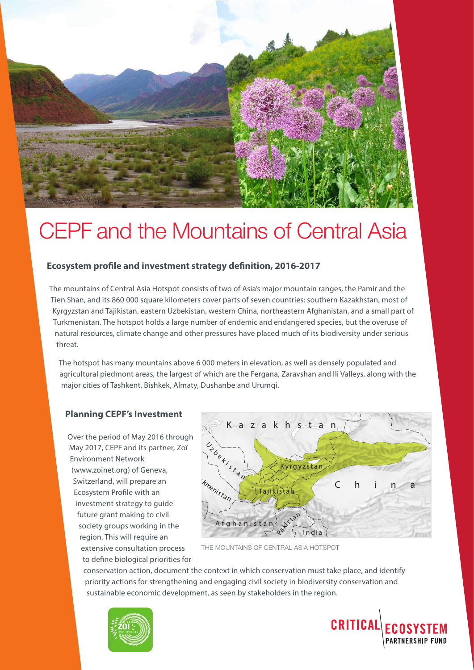

# CEPF and the Mountains of Central Asia

### **Ecosystem profile and investment strategy definition, 2016-2017**

The mountains of Central Asia Hotspot consists of two of Asia's major mountain ranges, the Pamir and the Tien Shan, and its 860 000 square kilometers cover parts of seven countries: southern Kazakhstan, most of Kyrgyzstan and Tajikistan, eastern Uzbekistan, western China, northeastern Afghanistan, and a small part of Turkmenistan. The hotspot holds a large number of endemic and endangered species, but the overuse of natural resources, climate change and other pressures have placed much of its biodiversity under serious threat.

The hotspot has many mountains above 6 000 meters in elevation, as well as densely populated and agricultural piedmont areas, the largest of which are the Fergana, Zaravshan and Ili Valleys, along with the major cities of Tashkent, Bishkek, Almaty, Dushanbe and Urumqi.

#### **Planning CEPF's Investment**

Over the period of May 2016 through May 2017, CEPF and its partner, Zoï Environment Network (www.zoinet.org) of Geneva, Switzerland, will prepare an Ecosystem Profile with an investment strategy to guide future grant making to civil society groups working in the region. This will require an extensive consultation process to define biological priorities for



THE MOUNTAINS OF CENTRAL ASIA HOTSPOT

conservation action, document the context in which conservation must take place, and identify priority actions for strengthening and engaging civil society in biodiversity conservation and sustainable economic development, as seen by stakeholders in the region.